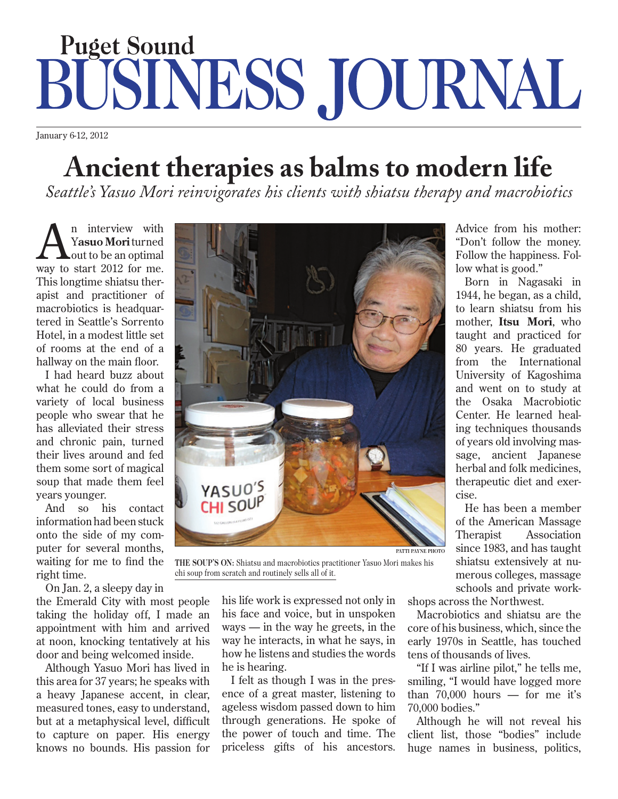## **22 Puget Sound business journal january 6-12, 2012 puget sound business journal january 6-12, 2012 puget sound business journal january 6-12, 2012 puget sound business journal january 6-12, 2012 puget sound business journ** DD JUUNN *Patti Payne's take on business beyond the headlines*

January 6-12, 2012

## **Ancient therapies as balms to modern life Ancient therapies as balms to modern life**

*Seattle's Yasuo Mori reinvigorates his clients with shiatsu therapy and macrobiotics Seattle's Yasuo Mori reinvigorates his clients with shiatsu therapy and macrobiotics*

**A**n interview with **Yasuo**  Yasuo Mori turned rasuo mortuu neu **L**out to be an optimal shiatsu therapist and prac-way to start 2012 for me. AThis longtime shiatsu ther- $\frac{1}{2}$  is nonguine sinarsu in apist and practitioner of macrobiotics is headquartered in Seattle's Sorrento  $\frac{1}{1}$  had heard buzz about  $\frac{1}{1}$  and  $\frac{1}{1}$ Hotel, in a modest little set of rooms at the end of a hallway on the main floor. n interview with

ated to the main noon. I had heard buzz about what he could do from a variety of local business feel younger.<br>Suite youth a connected people who swear that he has alleviated their stress and chronic pain, turned  $\frac{1}{2}$  months, was more to me to me to  $\frac{1}{2}$ their lives around and fed them some sort of magical soup that made them feel wears younger.  $\frac{1}{2}$  and  $\frac{1}{2}$  and  $\frac{1}{2}$  and  $\frac{1}{2}$  and  $\frac{1}{2}$  and  $\frac{1}{2}$  and  $\frac{1}{2}$  and  $\frac{1}{2}$  and  $\frac{1}{2}$  and  $\frac{1}{2}$  and  $\frac{1}{2}$  and  $\frac{1}{2}$  and  $\frac{1}{2}$  and  $\frac{1}{2}$  and  $\frac{1}{2}$  and  $\frac{1}{2}$  a

And so his contact information had been stuck onto the side of my com- $\frac{1}{2}$  and  $\frac{1}{2}$   $\frac{1}{2}$ puter for several months, waiting for me to find the right time.

 $\begin{array}{ccc} \text{m. cm.} \\ \text{m.} \\ \text{m.} \\ \text{m.} \end{array}$ On Jan. 2, a sleepy day in

the Emerald City with most people. taking the holiday off, I made an  $\frac{m}{2}$  is the notating only  $\frac{1}{2}$  in  $\frac{1}{2}$ appointment with him and arrived at noon, knocking tentatively at his door and being welcomed inside.

It and some words he Although Yasuo Mori has lived in this area for 37 years; he speaks with a heavy Japanese accent, in clear, generations. He spoke of the power of the power of the power of the power of the power of the power of the power of the power of the power of the power of the power of the power of the power of the power of the power of th measured tones, easy to understand, but at a metaphysical level, difficult to capture on paper. His energy ping  $\frac{1}{2}$  is good. It is good. knows no bounds. His passion for



THE SOUP'S ON: Shiatsu and macrobiotics practitioner Yasuo Mori makes his chi soup from scratch and routinely sells all of it.

his life work is expressed not only in his face and voice, but in unspoken  $A$  $ways - in the way he greatest, in the$ way he interacts, in what he says, in how he listens and studies the words now no notens and statists inc he is hearing.

I felt as though I was in the presence of a great master, listening to social music players as a string music players ageless wisdom passed down to him through generations. He spoke of the power of touch and time. The his hands with the speech priceless gifts of his ancestors.

Advice from his mother: "Don't follow the money.  $\frac{1}{2}$  but follow the  $\frac{1}{2}$ Follow the happiness. Follow what is good."  $\theta$  $\mathbf{D}$  to  $\mathbf{D}$  $10h$ 

Born in Nagasaki in  $p_{011}$  in ragas 1944, he began, as a child, to learn shiatsu from his mother, Itsu Mori, who  $\frac{1}{1}$   $\frac{1}{1}$ taught and practiced for 80 years. He graduated from the International  $r_{\text{r}} = \frac{r_{\text{r}}}{r_{\text{r}}}}$ University of Kagoshima and went on to study at the Osaka Macrobiotic Genten He hasses Center. He learned healing techniques thousands of years old involving mas- $\cos \theta$   $\sin \theta$ sage, ancient Japanese herbal and folk medicines, therapeutic diet and exercise.  $\frac{150}{25}$  $\frac{1}{11}$  $\mathfrak{m}$ also goes to him reli $\mathfrak{m}$ Seattle lawyer **Carol Bailey** is another devote the gifts  $\mathbf{I}$  $\cdots$ connected and sharper in my thinking." at mono,  $\mathfrak{g}$ sion, joy and in practice and in practice and in practice and in practice and in problem art of the stress of <br>In practice and in practice and in practice and in problem art of the stress of the stress of the stress of th  $\text{real}$  $\mathbf{S}$ - when an approximation and  $\mathbf{S}$ - $\frac{1}{2}$  $l$ csc $l$ 

He has been a member of the American Massage Therapist  $\frac{1}{10000}$   $\frac{1}{3000}$ since 1983, and has taught shiatsu extensively at numerous colleges, massage  $\frac{1}{1}$   $\frac{1}{1}$   $\frac{1}{1}$   $\frac{1}{1}$ schools and private work- $\frac{1}{\sqrt{1-\frac{1}{2}}}$ ranks of the TV reality show  $\mathbb{R}^n$  $\frac{1}{1}$ ork-Association

n shops across the Northwest.

Macrobiotics and shiatsu are the  $\frac{1}{2}$  interverse in the universe is  $\frac{1}{2}$ e core of his business, which, since the early 1970s in Seattle, has touched s tens of thousands of lives.  $\frac{\text{ln} \theta}{\text{ln} \theta}$  $em$ e ribbons, she made her initial approximation  $em$ 

 $C = C \cdot C$  carrots on the contract of  $C$ "If I was airline pilot," he tells me, s- smiling, "I would have logged more o than 70,000 hours — for me it's  $\frac{1}{20,000}$  bodies."  $\overline{0,000}$  boules. jockey hat. Bachelor **Ben Flajnik** gave  $\mathbf{m}\mathbf{e}$ , horse she rode in on."

f Although he will not reveal his client list, those "bodies" include huge names in business, politics,